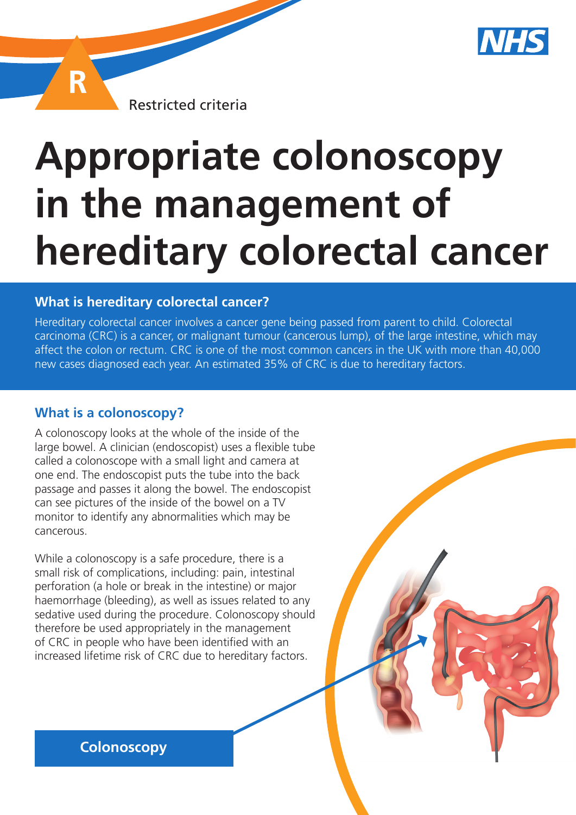

Restricted criteria

# **Appropriate colonoscopy in the management of hereditary colorectal cancer**

#### **What is hereditary colorectal cancer?**

Hereditary colorectal cancer involves a cancer gene being passed from parent to child. Colorectal carcinoma (CRC) is a cancer, or malignant tumour (cancerous lump), of the large intestine, which may affect the colon or rectum. CRC is one of the most common cancers in the UK with more than 40,000 new cases diagnosed each year. An estimated 35% of CRC is due to hereditary factors.

## **What is a colonoscopy?**

R

A colonoscopy looks at the whole of the inside of the large bowel. A clinician (endoscopist) uses a flexible tube called a colonoscope with a small light and camera at one end. The endoscopist puts the tube into the back passage and passes it along the bowel. The endoscopist can see pictures of the inside of the bowel on a TV monitor to identify any abnormalities which may be cancerous.

While a colonoscopy is a safe procedure, there is a small risk of complications, including: pain, intestinal perforation (a hole or break in the intestine) or major haemorrhage (bleeding), as well as issues related to any sedative used during the procedure. Colonoscopy should therefore be used appropriately in the management of CRC in people who have been identified with an increased lifetime risk of CRC due to hereditary factors.

**Colonoscopy**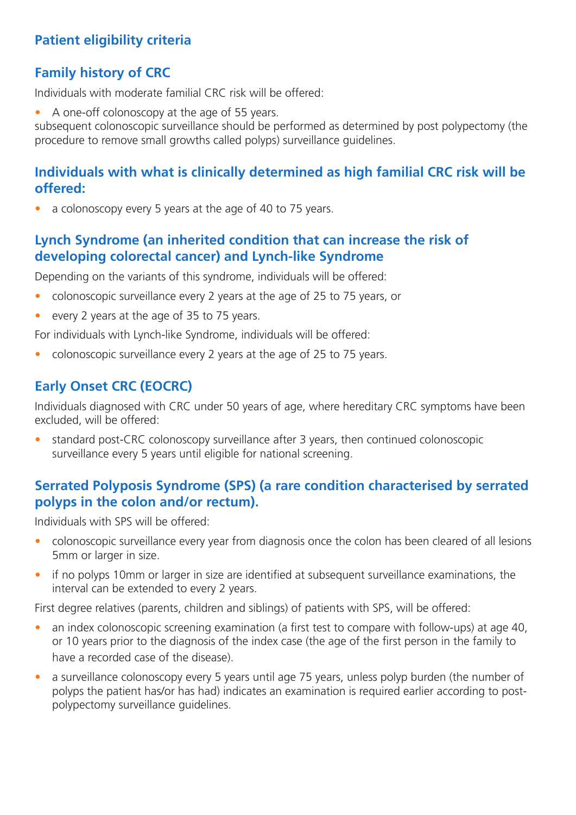# **Patient eligibility criteria**

# **Family history of CRC**

Individuals with moderate familial CRC risk will be offered:

• A one-off colonoscopy at the age of 55 years.

subsequent colonoscopic surveillance should be performed as determined by post polypectomy (the procedure to remove small growths called polyps) surveillance guidelines.

## **Individuals with what is clinically determined as high familial CRC risk will be offered:**

a colonoscopy every 5 years at the age of 40 to 75 years.

#### **Lynch Syndrome (an inherited condition that can increase the risk of developing colorectal cancer) and Lynch-like Syndrome**

Depending on the variants of this syndrome, individuals will be offered:

- colonoscopic surveillance every 2 years at the age of 25 to 75 years, or
- every 2 years at the age of 35 to 75 years.

For individuals with Lynch-like Syndrome, individuals will be offered:

• colonoscopic surveillance every 2 years at the age of 25 to 75 years.

# **Early Onset CRC (EOCRC)**

Individuals diagnosed with CRC under 50 years of age, where hereditary CRC symptoms have been excluded, will be offered:

• standard post-CRC colonoscopy surveillance after 3 years, then continued colonoscopic surveillance every 5 years until eligible for national screening.

# **Serrated Polyposis Syndrome (SPS) (a rare condition characterised by serrated polyps in the colon and/or rectum).**

Individuals with SPS will be offered:

- colonoscopic surveillance every year from diagnosis once the colon has been cleared of all lesions 5mm or larger in size.
- if no polyps 10mm or larger in size are identified at subsequent surveillance examinations, the interval can be extended to every 2 years.

First degree relatives (parents, children and siblings) of patients with SPS, will be offered:

- an index colonoscopic screening examination (a first test to compare with follow-ups) at age 40, or 10 years prior to the diagnosis of the index case (the age of the first person in the family to have a recorded case of the disease).
- a surveillance colonoscopy every 5 years until age 75 years, unless polyp burden (the number of polyps the patient has/or has had) indicates an examination is required earlier according to postpolypectomy surveillance guidelines.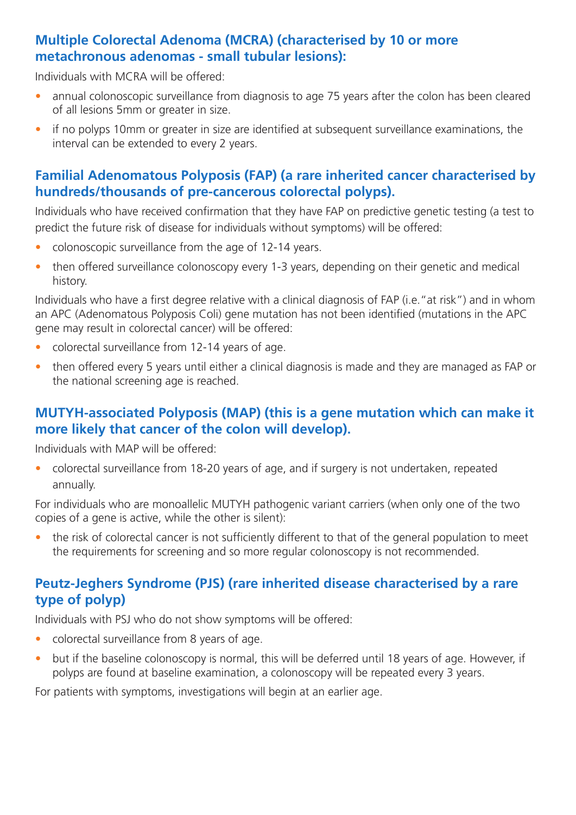#### **Multiple Colorectal Adenoma (MCRA) (characterised by 10 or more metachronous adenomas - small tubular lesions):**

Individuals with MCRA will be offered:

- annual colonoscopic surveillance from diagnosis to age 75 years after the colon has been cleared of all lesions 5mm or greater in size.
- if no polyps 10mm or greater in size are identified at subsequent surveillance examinations, the interval can be extended to every 2 years.

## **Familial Adenomatous Polyposis (FAP) (a rare inherited cancer characterised by hundreds/thousands of pre-cancerous colorectal polyps).**

Individuals who have received confirmation that they have FAP on predictive genetic testing (a test to predict the future risk of disease for individuals without symptoms) will be offered:

- colonoscopic surveillance from the age of 12-14 years.
- then offered surveillance colonoscopy every 1-3 years, depending on their genetic and medical history.

Individuals who have a first degree relative with a clinical diagnosis of FAP (i.e."at risk") and in whom an APC (Adenomatous Polyposis Coli) gene mutation has not been identified (mutations in the APC gene may result in colorectal cancer) will be offered:

- colorectal surveillance from 12-14 years of age.
- then offered every 5 years until either a clinical diagnosis is made and they are managed as FAP or the national screening age is reached.

## **MUTYH-associated Polyposis (MAP) (this is a gene mutation which can make it more likely that cancer of the colon will develop).**

Individuals with MAP will be offered:

• colorectal surveillance from 18-20 years of age, and if surgery is not undertaken, repeated annually.

For individuals who are monoallelic MUTYH pathogenic variant carriers (when only one of the two copies of a gene is active, while the other is silent):

the risk of colorectal cancer is not sufficiently different to that of the general population to meet the requirements for screening and so more regular colonoscopy is not recommended.

# **Peutz-Jeghers Syndrome (PJS) (rare inherited disease characterised by a rare type of polyp)**

Individuals with PSJ who do not show symptoms will be offered:

- colorectal surveillance from 8 years of age.
- but if the baseline colonoscopy is normal, this will be deferred until 18 years of age. However, if polyps are found at baseline examination, a colonoscopy will be repeated every 3 years.

For patients with symptoms, investigations will begin at an earlier age.